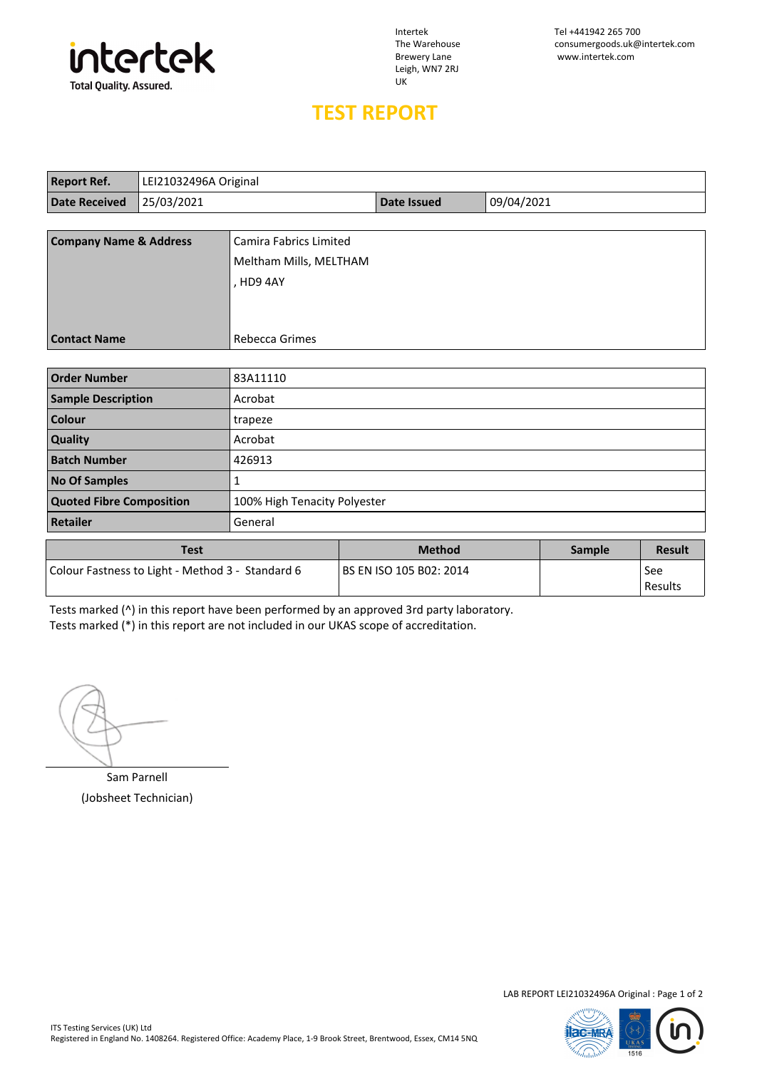

Leigh, WN7 2RJ UK

Intertek Tel +441942 265 700 The Warehouse consumergoods.uk@intertek.com<br>Brewery Lane www.intertek.com www.intertek.com

## **TEST REPORT**

| <b>Report Ref.</b>                | LEI21032496A Original |                               |                    |            |  |  |
|-----------------------------------|-----------------------|-------------------------------|--------------------|------------|--|--|
| <b>Date Received</b>              | 25/03/2021            |                               | <b>Date Issued</b> | 09/04/2021 |  |  |
|                                   |                       |                               |                    |            |  |  |
| <b>Company Name &amp; Address</b> |                       | <b>Camira Fabrics Limited</b> |                    |            |  |  |
|                                   |                       | Meltham Mills, MELTHAM        |                    |            |  |  |
|                                   |                       | , HD9 4AY                     |                    |            |  |  |
|                                   |                       |                               |                    |            |  |  |
|                                   |                       |                               |                    |            |  |  |
| <b>Contact Name</b>               |                       | Rebecca Grimes                |                    |            |  |  |
|                                   |                       |                               |                    |            |  |  |
| <b>Order Number</b>               |                       | 83A11110                      |                    |            |  |  |
| <b>Sample Description</b>         |                       | Acrobat                       |                    |            |  |  |
| <b>Colour</b>                     |                       | trapeze                       |                    |            |  |  |
| Quality                           |                       | Acrobat                       |                    |            |  |  |
| <b>Batch Number</b>               |                       | 426913                        |                    |            |  |  |
| <b>No Of Samples</b>              |                       | 1                             |                    |            |  |  |
| <b>Quoted Fibre Composition</b>   |                       | 100% High Tenacity Polyester  |                    |            |  |  |
| Retailer                          |                       | General                       |                    |            |  |  |

| Test                                             | <b>Method</b>             | <b>Sample</b> | <b>Result</b>    |
|--------------------------------------------------|---------------------------|---------------|------------------|
| Colour Fastness to Light - Method 3 - Standard 6 | l BS EN ISO 105 B02: 2014 |               | See<br>l Results |

Tests marked (^) in this report have been performed by an approved 3rd party laboratory. Tests marked (\*) in this report are not included in our UKAS scope of accreditation.

Sam Parnell (Jobsheet Technician)

LAB REPORT LEI21032496A Original : Page 1 of 2



 $\overline{\phantom{a}}$